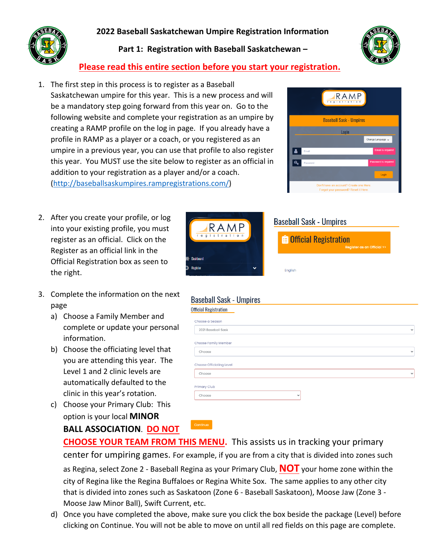## **2022 Baseball Saskatchewan Umpire Registration Information**



**Part 1: Registration with Baseball Saskatchewan –**



## **Please read this entire section before you start your registration.**

- 1. The first step in this process is to register as a Baseball Saskatchewan umpire for this year. This is a new process and will be a mandatory step going forward from this year on. Go to the following website and complete your registration as an umpire by creating a RAMP profile on the log in page. If you already have a profile in RAMP as a player or a coach, or you registered as an umpire in a previous year, you can use that profile to also register this year. You MUST use the site below to register as an official in addition to your registration as a player and/or a coach. (http://baseballsaskumpires.rampregistrations.com/)
- 2. After you create your profile, or log into your existing profile, you must register as an official. Click on the Register as an official link in the Official Registration box as seen to the right.
- 3. Complete the information on the next page
	- a) Choose a Family Member and complete or update your personal information.
	- b) Choose the officiating level that you are attending this year. The Level 1 and 2 clinic levels are automatically defaulted to the clinic in this year's rotation.
	- c) Choose your Primary Club: This option is your local **MINOR BALL ASSOCIATION**. **DO NOT**





| <b>E</b> Official Registration | <b>Register as an Official &gt;&gt;</b> |
|--------------------------------|-----------------------------------------|
| English                        |                                         |

| $\checkmark$ |
|--------------|
|              |
| $\checkmark$ |
|              |
| $\checkmark$ |
|              |

**CHOOSE YOUR TEAM FROM THIS MENU.** This assists us in tracking your primary center for umpiring games. For example, if you are from a city that is divided into zones such as Regina, select Zone 2 - Baseball Regina as your Primary Club, **NOT** your home zone within the

city of Regina like the Regina Buffaloes or Regina White Sox. The same applies to any other city that is divided into zones such as Saskatoon (Zone 6 - Baseball Saskatoon), Moose Jaw (Zone 3 - Moose Jaw Minor Ball), Swift Current, etc.

d) Once you have completed the above, make sure you click the box beside the package (Level) before clicking on Continue. You will not be able to move on until all red fields on this page are complete.

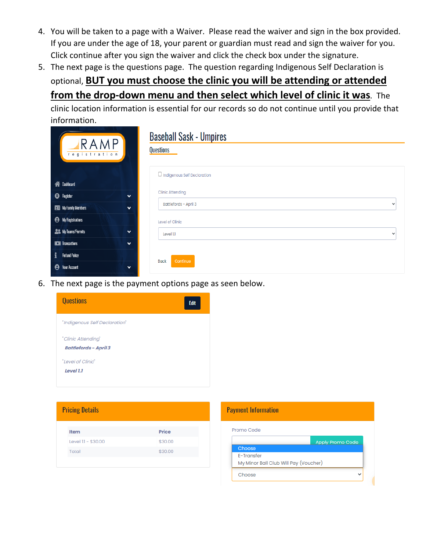- 4. You will be taken to a page with a Waiver. Please read the waiver and sign in the box provided. If you are under the age of 18, your parent or guardian must read and sign the waiver for you. Click continue after you sign the waiver and click the check box under the signature.
- 5. The next page is the questions page. The question regarding Indigenous Self Declaration is optional, **BUT you must choose the clinic you will be attending or attended from the drop-down menu and then select which level of clinic it was**. The

clinic location information is essential for our records so do not continue until you provide that information.

| ARAMP                                        | <b>Baseball Sask - Umpires</b><br><b>Questions</b> |  |
|----------------------------------------------|----------------------------------------------------|--|
| registration                                 |                                                    |  |
|                                              | $\Box$ Indigenous Self Declaration                 |  |
| <b>谷</b> Dashboard                           |                                                    |  |
| <b>B</b> Register<br>$\checkmark$            | <b>Clinic Attending</b>                            |  |
| My Family Members<br>$\checkmark$            | Battlefords - April 3<br>$\checkmark$              |  |
| <b>e</b> My Registrations                    | Level of Clinic                                    |  |
| <b>ALS:</b> My Teams/Permits<br>$\checkmark$ | Level 1.1<br>$\checkmark$                          |  |
| <b>Transactions</b><br>$\checkmark$          |                                                    |  |
| $\mathbf{i}$<br><b>Refund Policy</b>         |                                                    |  |
| <b>O</b> Your Account<br>$\checkmark$        | <b>Back</b><br>Continue                            |  |

6. The next page is the payment options page as seen below.

| <b>Questions</b>                                   | Edit |
|----------------------------------------------------|------|
| "Indigenous Self Declaration"                      |      |
| "Clinic Attending"<br><b>Battlefords - April 3</b> |      |
| "Level of Clinic"<br>Level 1.1                     |      |

| <b>Pricing Details</b> |                     |         |  |  |
|------------------------|---------------------|---------|--|--|
|                        | <b>Item</b>         | Price   |  |  |
|                        | Level 1.1 - \$30.00 | \$30.00 |  |  |
|                        | Total               | \$30.00 |  |  |
|                        |                     |         |  |  |